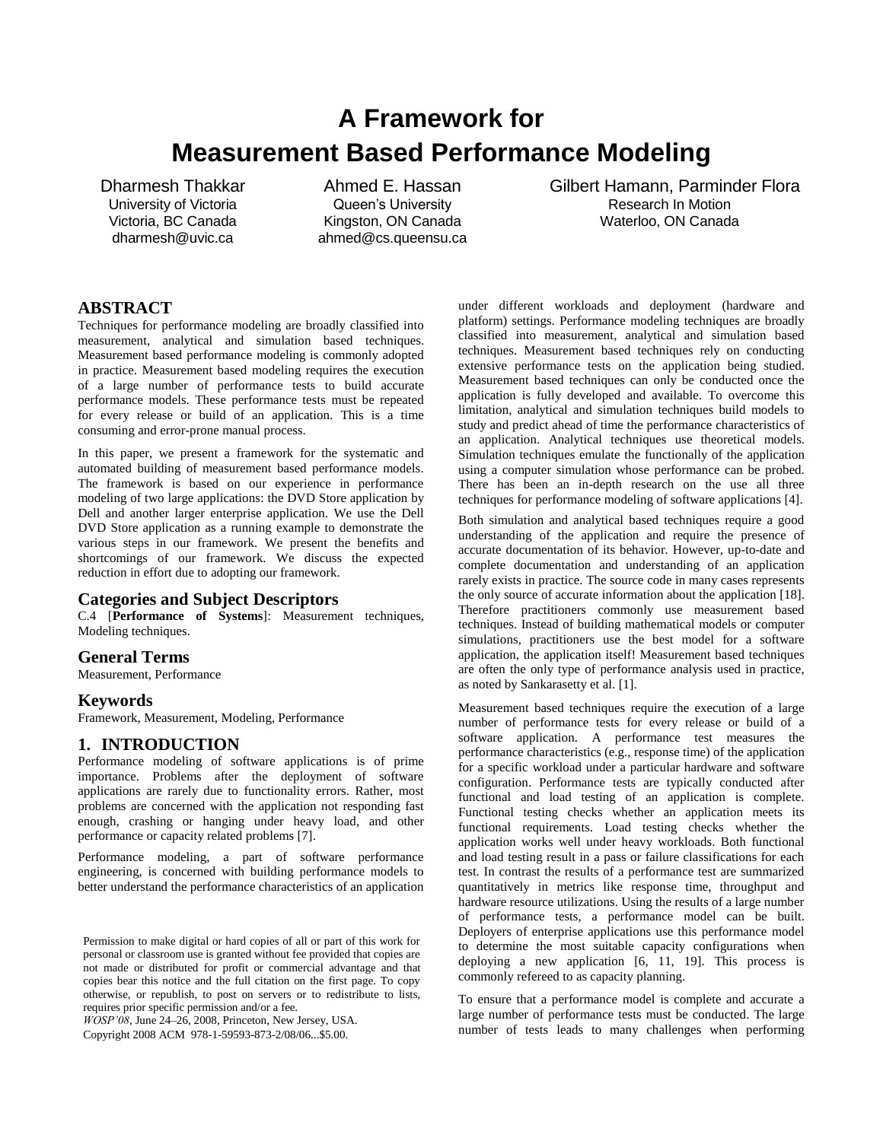# **A Framework for Measurement Based Performance Modeling**

Dharmesh Thakkar University of Victoria Victoria, BC Canada dharmesh@uvic.ca

Ahmed E. Hassan Queen's University Kingston, ON Canada ahmed@cs.queensu.ca Gilbert Hamann, Parminder Flora Research In Motion Waterloo, ON Canada

# **ABSTRACT**

Techniques for performance modeling are broadly classified into measurement, analytical and simulation based techniques. Measurement based performance modeling is commonly adopted in practice. Measurement based modeling requires the execution of a large number of performance tests to build accurate performance models. These performance tests must be repeated for every release or build of an application. This is a time consuming and error-prone manual process.

In this paper, we present a framework for the systematic and automated building of measurement based performance models. The framework is based on our experience in performance modeling of two large applications: the DVD Store application by Dell and another larger enterprise application. We use the Dell DVD Store application as a running example to demonstrate the various steps in our framework. We present the benefits and shortcomings of our framework. We discuss the expected reduction in effort due to adopting our framework.

### **Categories and Subject Descriptors**

C.4 [**Performance of Systems**]: Measurement techniques, Modeling techniques.

### **General Terms**

Measurement, Performance

### **Keywords**

Framework, Measurement, Modeling, Performance

# **1. INTRODUCTION**

Performance modeling of software applications is of prime importance. Problems after the deployment of software applications are rarely due to functionality errors. Rather, most problems are concerned with the application not responding fast enough, crashing or hanging under heavy load, and other performance or capacity related problems [7].

Performance modeling, a part of software performance engineering, is concerned with building performance models to better understand the performance characteristics of an application

*WOSP'08*, June 24–26, 2008, Princeton, New Jersey, USA.

Copyright 2008 ACM 978-1-59593-873-2/08/06...\$5.00.

under different workloads and deployment (hardware and platform) settings. Performance modeling techniques are broadly classified into measurement, analytical and simulation based techniques. Measurement based techniques rely on conducting extensive performance tests on the application being studied. Measurement based techniques can only be conducted once the application is fully developed and available. To overcome this limitation, analytical and simulation techniques build models to study and predict ahead of time the performance characteristics of an application. Analytical techniques use theoretical models. Simulation techniques emulate the functionally of the application using a computer simulation whose performance can be probed. There has been an in-depth research on the use all three techniques for performance modeling of software applications [4].

Both simulation and analytical based techniques require a good understanding of the application and require the presence of accurate documentation of its behavior. However, up-to-date and complete documentation and understanding of an application rarely exists in practice. The source code in many cases represents the only source of accurate information about the application [18]. Therefore practitioners commonly use measurement based techniques. Instead of building mathematical models or computer simulations, practitioners use the best model for a software application, the application itself! Measurement based techniques are often the only type of performance analysis used in practice, as noted by Sankarasetty et al. [1].

Measurement based techniques require the execution of a large number of performance tests for every release or build of a software application. A performance test measures the performance characteristics (e.g., response time) of the application for a specific workload under a particular hardware and software configuration. Performance tests are typically conducted after functional and load testing of an application is complete. Functional testing checks whether an application meets its functional requirements. Load testing checks whether the application works well under heavy workloads. Both functional and load testing result in a pass or failure classifications for each test. In contrast the results of a performance test are summarized quantitatively in metrics like response time, throughput and hardware resource utilizations. Using the results of a large number of performance tests, a performance model can be built. Deployers of enterprise applications use this performance model to determine the most suitable capacity configurations when deploying a new application [6, 11, 19]. This process is commonly refereed to as capacity planning.

To ensure that a performance model is complete and accurate a large number of performance tests must be conducted. The large number of tests leads to many challenges when performing

Permission to make digital or hard copies of all or part of this work for personal or classroom use is granted without fee provided that copies are not made or distributed for profit or commercial advantage and that copies bear this notice and the full citation on the first page. To copy otherwise, or republish, to post on servers or to redistribute to lists, requires prior specific permission and/or a fee.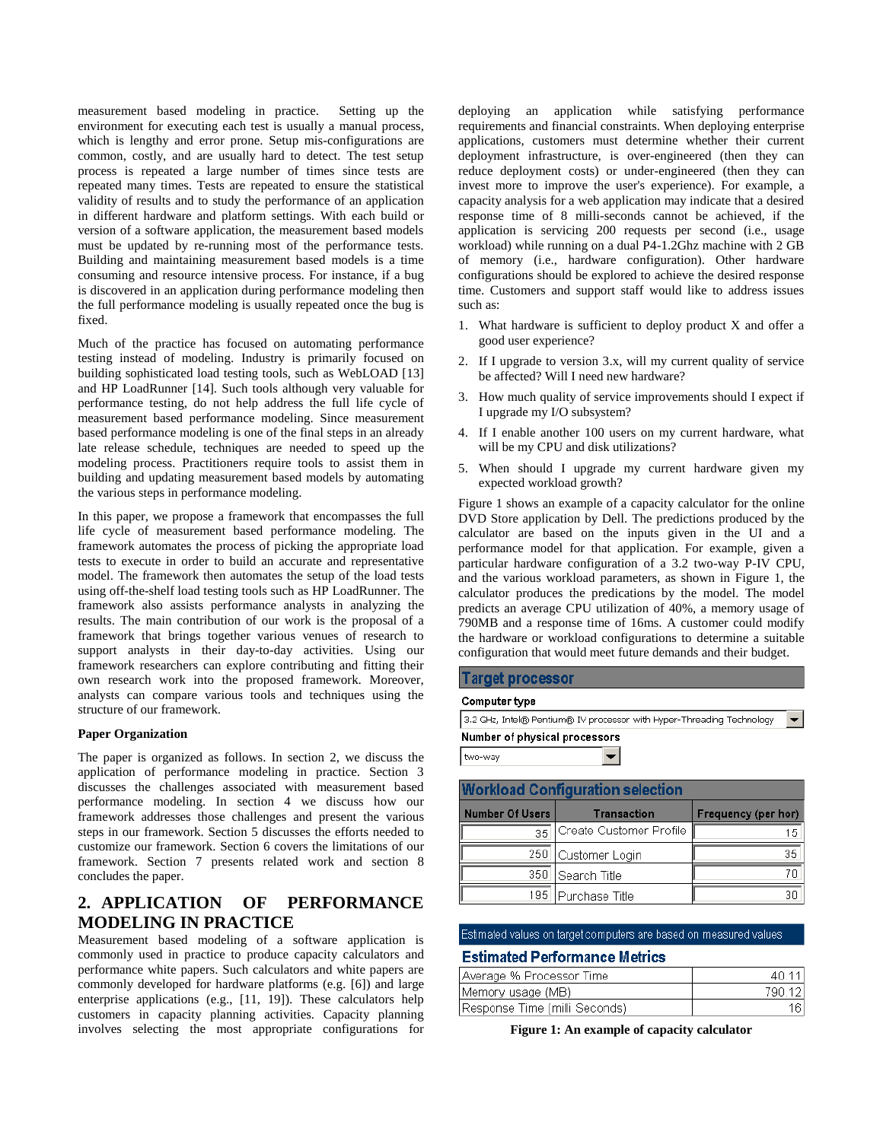measurement based modeling in practice. Setting up the environment for executing each test is usually a manual process, which is lengthy and error prone. Setup mis-configurations are common, costly, and are usually hard to detect. The test setup process is repeated a large number of times since tests are repeated many times. Tests are repeated to ensure the statistical validity of results and to study the performance of an application in different hardware and platform settings. With each build or version of a software application, the measurement based models must be updated by re-running most of the performance tests. Building and maintaining measurement based models is a time consuming and resource intensive process. For instance, if a bug is discovered in an application during performance modeling then the full performance modeling is usually repeated once the bug is fixed.

Much of the practice has focused on automating performance testing instead of modeling. Industry is primarily focused on building sophisticated load testing tools, such as WebLOAD [13] and HP LoadRunner [14]. Such tools although very valuable for performance testing, do not help address the full life cycle of measurement based performance modeling. Since measurement based performance modeling is one of the final steps in an already late release schedule, techniques are needed to speed up the modeling process. Practitioners require tools to assist them in building and updating measurement based models by automating the various steps in performance modeling.

In this paper, we propose a framework that encompasses the full life cycle of measurement based performance modeling. The framework automates the process of picking the appropriate load tests to execute in order to build an accurate and representative model. The framework then automates the setup of the load tests using off-the-shelf load testing tools such as HP LoadRunner. The framework also assists performance analysts in analyzing the results. The main contribution of our work is the proposal of a framework that brings together various venues of research to support analysts in their day-to-day activities. Using our framework researchers can explore contributing and fitting their own research work into the proposed framework. Moreover, analysts can compare various tools and techniques using the structure of our framework.

#### **Paper Organization**

The paper is organized as follows. In section 2, we discuss the application of performance modeling in practice. Section 3 discusses the challenges associated with measurement based performance modeling. In section 4 we discuss how our framework addresses those challenges and present the various steps in our framework. Section 5 discusses the efforts needed to customize our framework. Section 6 covers the limitations of our framework. Section 7 presents related work and section 8 concludes the paper.

# **2. APPLICATION OF PERFORMANCE MODELING IN PRACTICE**

Measurement based modeling of a software application is commonly used in practice to produce capacity calculators and performance white papers. Such calculators and white papers are commonly developed for hardware platforms (e.g. [\[6\]\)](#page-9-0) and large enterprise applications (e.g., [11, 19]). These calculators help customers in capacity planning activities. Capacity planning involves selecting the most appropriate configurations for

deploying an application while satisfying performance requirements and financial constraints. When deploying enterprise applications, customers must determine whether their current deployment infrastructure, is over-engineered (then they can reduce deployment costs) or under-engineered (then they can invest more to improve the user's experience). For example, a capacity analysis for a web application may indicate that a desired response time of 8 milli-seconds cannot be achieved, if the application is servicing 200 requests per second (i.e., usage workload) while running on a dual P4-1.2Ghz machine with 2 GB of memory (i.e., hardware configuration). Other hardware configurations should be explored to achieve the desired response time. Customers and support staff would like to address issues such as:

- 1. What hardware is sufficient to deploy product X and offer a good user experience?
- 2. If I upgrade to version 3.x, will my current quality of service be affected? Will I need new hardware?
- 3. How much quality of service improvements should I expect if I upgrade my I/O subsystem?
- 4. If I enable another 100 users on my current hardware, what will be my CPU and disk utilizations?
- 5. When should I upgrade my current hardware given my expected workload growth?

Figure 1 shows an example of a capacity calculator for the online DVD Store application by Dell. The predictions produced by the calculator are based on the inputs given in the UI and a performance model for that application. For example, given a particular hardware configuration of a 3.2 two-way P-IV CPU, and the various workload parameters, as shown in Figure 1, the calculator produces the predications by the model. The model predicts an average CPU utilization of 40%, a memory usage of 790MB and a response time of 16ms. A customer could modify the hardware or workload configurations to determine a suitable configuration that would meet future demands and their budget.

#### **Target processor**

#### **Computer type**

|                               | 3.2 GHz, Intel® Pentium® IV processor with Hyper-Threading Technology |  |
|-------------------------------|-----------------------------------------------------------------------|--|
| Number of physical processors |                                                                       |  |
| two-way                       |                                                                       |  |

| <b>Workload Configuration selection</b>      |                         |                     |  |  |  |
|----------------------------------------------|-------------------------|---------------------|--|--|--|
| <b>Number Of Users</b><br><b>Transaction</b> |                         | Frequency (per hor) |  |  |  |
| 35 <sup>1</sup>                              | Create Customer Profile | 15                  |  |  |  |
|                                              | 250 Customer Login      | 35                  |  |  |  |
| 350                                          | <b>Search Title</b>     |                     |  |  |  |
| 195                                          | Purchase Title          | 30                  |  |  |  |

# Estimated values on target computers are based on measured values

### **Estimated Performance Metrics**

| Average % Processor Time       | 40.     |
|--------------------------------|---------|
| Memory usage (MB)              | 790.121 |
| (Response Time (milli Seconds) |         |

**Figure 1: An example of capacity calculator**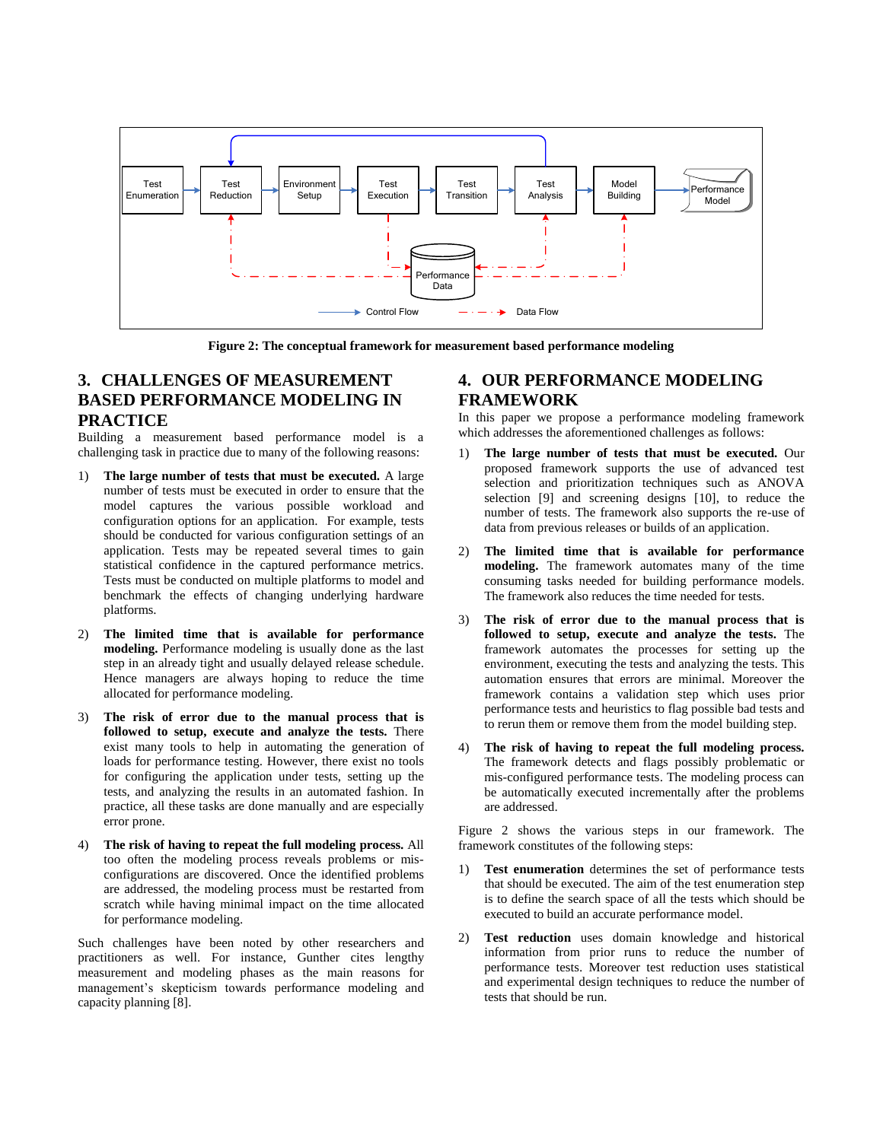

**Figure 2: The conceptual framework for measurement based performance modeling**

# **3. CHALLENGES OF MEASUREMENT BASED PERFORMANCE MODELING IN PRACTICE**

Building a measurement based performance model is a challenging task in practice due to many of the following reasons:

- 1) **The large number of tests that must be executed.** A large number of tests must be executed in order to ensure that the model captures the various possible workload and configuration options for an application. For example, tests should be conducted for various configuration settings of an application. Tests may be repeated several times to gain statistical confidence in the captured performance metrics. Tests must be conducted on multiple platforms to model and benchmark the effects of changing underlying hardware platforms.
- 2) **The limited time that is available for performance modeling.** Performance modeling is usually done as the last step in an already tight and usually delayed release schedule. Hence managers are always hoping to reduce the time allocated for performance modeling.
- 3) **The risk of error due to the manual process that is followed to setup, execute and analyze the tests.** There exist many tools to help in automating the generation of loads for performance testing. However, there exist no tools for configuring the application under tests, setting up the tests, and analyzing the results in an automated fashion. In practice, all these tasks are done manually and are especially error prone.
- 4) **The risk of having to repeat the full modeling process.** All too often the modeling process reveals problems or misconfigurations are discovered. Once the identified problems are addressed, the modeling process must be restarted from scratch while having minimal impact on the time allocated for performance modeling.

Such challenges have been noted by other researchers and practitioners as well. For instance, Gunther cites lengthy measurement and modeling phases as the main reasons for management's skepticism towards performance modeling and capacity planning [8].

# **4. OUR PERFORMANCE MODELING FRAMEWORK**

In this paper we propose a performance modeling framework which addresses the aforementioned challenges as follows:

- 1) **The large number of tests that must be executed.** Our proposed framework supports the use of advanced test selection and prioritization techniques such as ANOVA selection [9] and screening designs [10], to reduce the number of tests. The framework also supports the re-use of data from previous releases or builds of an application.
- 2) **The limited time that is available for performance modeling.** The framework automates many of the time consuming tasks needed for building performance models. The framework also reduces the time needed for tests.
- 3) **The risk of error due to the manual process that is followed to setup, execute and analyze the tests.** The framework automates the processes for setting up the environment, executing the tests and analyzing the tests. This automation ensures that errors are minimal. Moreover the framework contains a validation step which uses prior performance tests and heuristics to flag possible bad tests and to rerun them or remove them from the model building step.
- 4) **The risk of having to repeat the full modeling process.** The framework detects and flags possibly problematic or mis-configured performance tests. The modeling process can be automatically executed incrementally after the problems are addressed.

Figure 2 shows the various steps in our framework. The framework constitutes of the following steps:

- 1) **Test enumeration** determines the set of performance tests that should be executed. The aim of the test enumeration step is to define the search space of all the tests which should be executed to build an accurate performance model.
- 2) **Test reduction** uses domain knowledge and historical information from prior runs to reduce the number of performance tests. Moreover test reduction uses statistical and experimental design techniques to reduce the number of tests that should be run.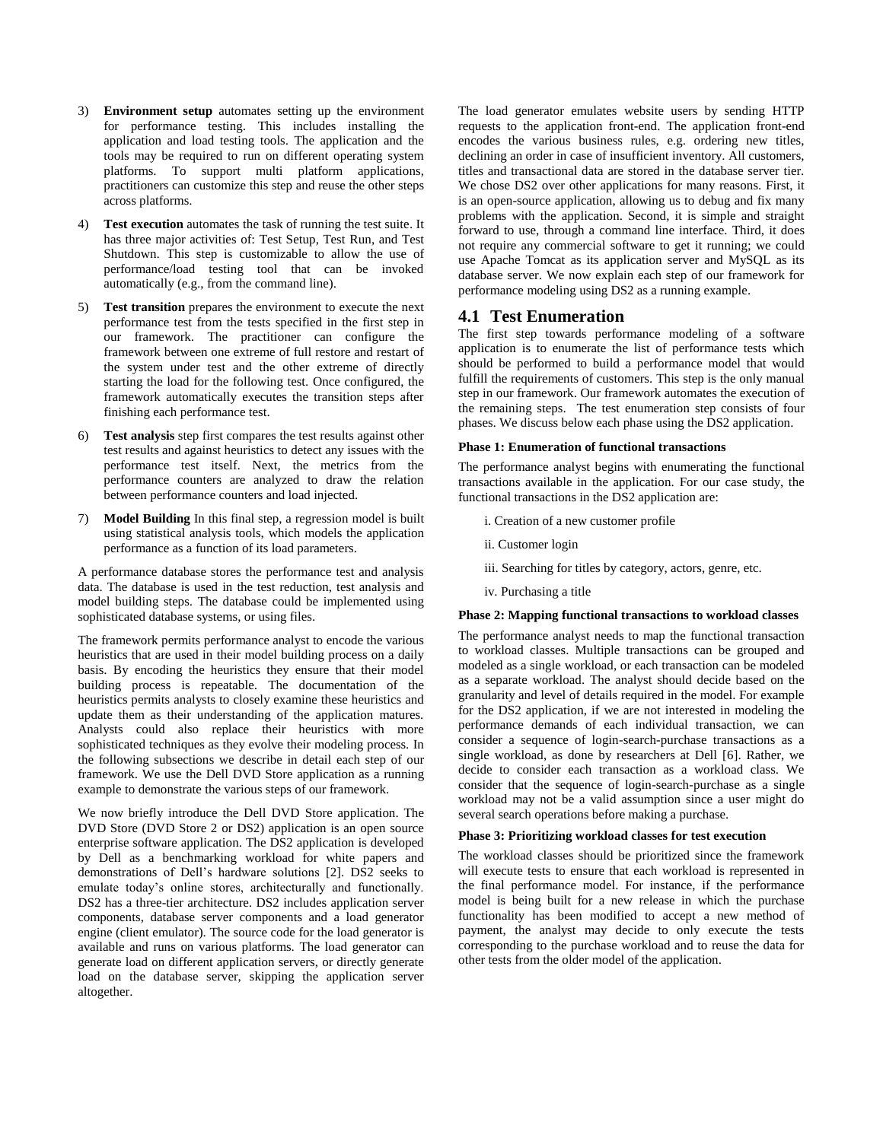- 3) **Environment setup** automates setting up the environment for performance testing. This includes installing the application and load testing tools. The application and the tools may be required to run on different operating system platforms. To support multi platform applications, practitioners can customize this step and reuse the other steps across platforms.
- 4) **Test execution** automates the task of running the test suite. It has three major activities of: Test Setup, Test Run, and Test Shutdown. This step is customizable to allow the use of performance/load testing tool that can be invoked automatically (e.g., from the command line).
- 5) **Test transition** prepares the environment to execute the next performance test from the tests specified in the first step in our framework. The practitioner can configure the framework between one extreme of full restore and restart of the system under test and the other extreme of directly starting the load for the following test. Once configured, the framework automatically executes the transition steps after finishing each performance test.
- 6) **Test analysis** step first compares the test results against other test results and against heuristics to detect any issues with the performance test itself. Next, the metrics from the performance counters are analyzed to draw the relation between performance counters and load injected.
- 7) **Model Building** In this final step, a regression model is built using statistical analysis tools, which models the application performance as a function of its load parameters.

A performance database stores the performance test and analysis data. The database is used in the test reduction, test analysis and model building steps. The database could be implemented using sophisticated database systems, or using files.

The framework permits performance analyst to encode the various heuristics that are used in their model building process on a daily basis. By encoding the heuristics they ensure that their model building process is repeatable. The documentation of the heuristics permits analysts to closely examine these heuristics and update them as their understanding of the application matures. Analysts could also replace their heuristics with more sophisticated techniques as they evolve their modeling process. In the following subsections we describe in detail each step of our framework. We use the Dell DVD Store application as a running example to demonstrate the various steps of our framework.

We now briefly introduce the Dell DVD Store application. The DVD Store (DVD Store 2 or DS2) application is an open source enterprise software application. The DS2 application is developed by Dell as a benchmarking workload for white papers and demonstrations of Dell's hardware solutions [2]. DS2 seeks to emulate today's online stores, architecturally and functionally. DS2 has a three-tier architecture. DS2 includes application server components, database server components and a load generator engine (client emulator). The source code for the load generator is available and runs on various platforms. The load generator can generate load on different application servers, or directly generate load on the database server, skipping the application server altogether.

The load generator emulates website users by sending HTTP requests to the application front-end. The application front-end encodes the various business rules, e.g. ordering new titles, declining an order in case of insufficient inventory. All customers, titles and transactional data are stored in the database server tier. We chose DS2 over other applications for many reasons. First, it is an open-source application, allowing us to debug and fix many problems with the application. Second, it is simple and straight forward to use, through a command line interface. Third, it does not require any commercial software to get it running; we could use Apache Tomcat as its application server and MySQL as its database server. We now explain each step of our framework for performance modeling using DS2 as a running example.

# **4.1 Test Enumeration**

The first step towards performance modeling of a software application is to enumerate the list of performance tests which should be performed to build a performance model that would fulfill the requirements of customers. This step is the only manual step in our framework. Our framework automates the execution of the remaining steps. The test enumeration step consists of four phases. We discuss below each phase using the DS2 application.

#### **Phase 1: Enumeration of functional transactions**

The performance analyst begins with enumerating the functional transactions available in the application. For our case study, the functional transactions in the DS2 application are:

- i. Creation of a new customer profile
- ii. Customer login
- iii. Searching for titles by category, actors, genre, etc.
- iv. Purchasing a title

#### **Phase 2: Mapping functional transactions to workload classes**

The performance analyst needs to map the functional transaction to workload classes. Multiple transactions can be grouped and modeled as a single workload, or each transaction can be modeled as a separate workload. The analyst should decide based on the granularity and level of details required in the model. For example for the DS2 application, if we are not interested in modeling the performance demands of each individual transaction, we can consider a sequence of login-search-purchase transactions as a single workload, as done by researchers at Dell [6]. Rather, we decide to consider each transaction as a workload class. We consider that the sequence of login-search-purchase as a single workload may not be a valid assumption since a user might do several search operations before making a purchase.

### **Phase 3: Prioritizing workload classes for test execution**

The workload classes should be prioritized since the framework will execute tests to ensure that each workload is represented in the final performance model. For instance, if the performance model is being built for a new release in which the purchase functionality has been modified to accept a new method of payment, the analyst may decide to only execute the tests corresponding to the purchase workload and to reuse the data for other tests from the older model of the application.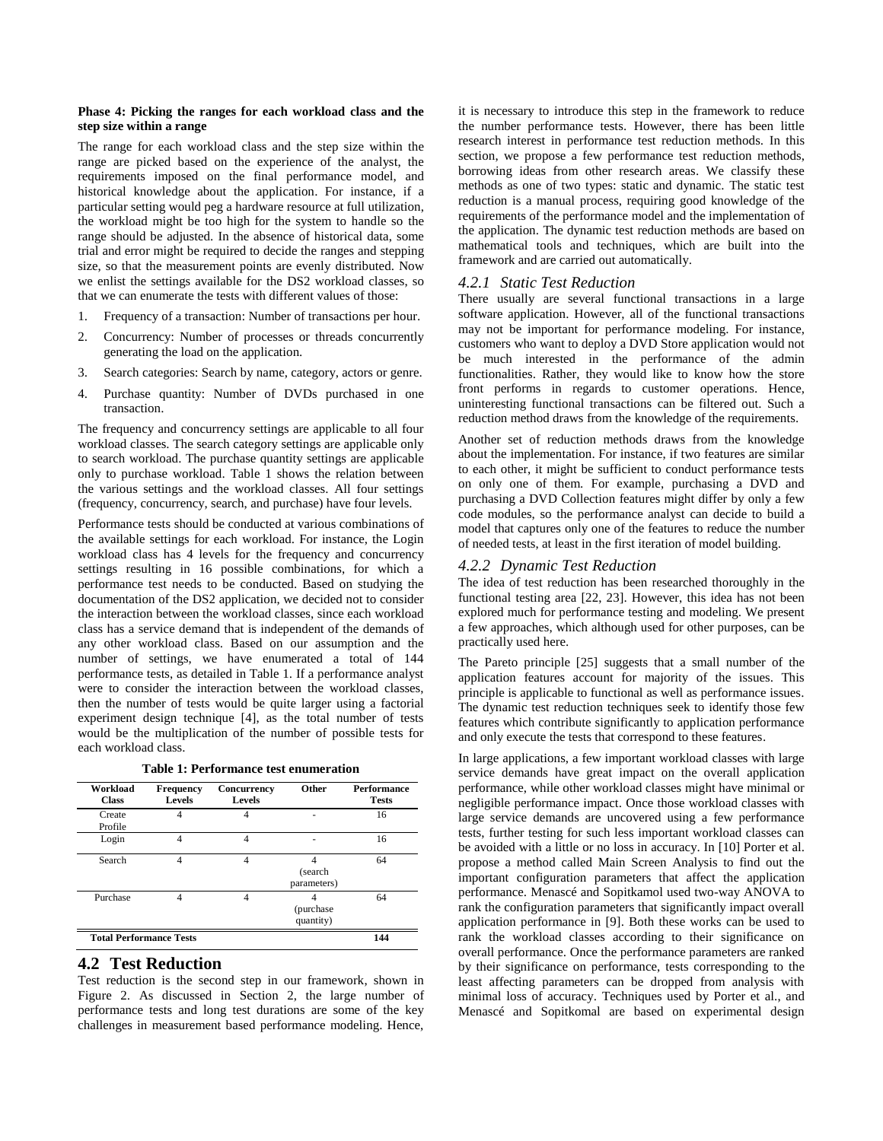#### **Phase 4: Picking the ranges for each workload class and the step size within a range**

The range for each workload class and the step size within the range are picked based on the experience of the analyst, the requirements imposed on the final performance model, and historical knowledge about the application. For instance, if a particular setting would peg a hardware resource at full utilization, the workload might be too high for the system to handle so the range should be adjusted. In the absence of historical data, some trial and error might be required to decide the ranges and stepping size, so that the measurement points are evenly distributed. Now we enlist the settings available for the DS2 workload classes, so that we can enumerate the tests with different values of those:

- 1. Frequency of a transaction: Number of transactions per hour.
- 2. Concurrency: Number of processes or threads concurrently generating the load on the application.
- 3. Search categories: Search by name, category, actors or genre.
- 4. Purchase quantity: Number of DVDs purchased in one transaction.

The frequency and concurrency settings are applicable to all four workload classes. The search category settings are applicable only to search workload. The purchase quantity settings are applicable only to purchase workload. Table 1 shows the relation between the various settings and the workload classes. All four settings (frequency, concurrency, search, and purchase) have four levels.

Performance tests should be conducted at various combinations of the available settings for each workload. For instance, the Login workload class has 4 levels for the frequency and concurrency settings resulting in 16 possible combinations, for which a performance test needs to be conducted. Based on studying the documentation of the DS2 application, we decided not to consider the interaction between the workload classes, since each workload class has a service demand that is independent of the demands of any other workload class. Based on our assumption and the number of settings, we have enumerated a total of 144 performance tests, as detailed in Table 1. If a performance analyst were to consider the interaction between the workload classes, then the number of tests would be quite larger using a factorial experiment design technique [4], as the total number of tests would be the multiplication of the number of possible tests for each workload class.

| Table 1: Performance test enumeration |
|---------------------------------------|
|---------------------------------------|

| Workload<br><b>Class</b> | Frequency<br><b>Levels</b>     | Concurrency<br><b>Levels</b> | Other                       | <b>Performance</b><br><b>Tests</b> |
|--------------------------|--------------------------------|------------------------------|-----------------------------|------------------------------------|
| Create<br>Profile        | 4                              | 4                            |                             | 16                                 |
| Login                    | 4                              | 4                            |                             | 16                                 |
| Search                   | 4                              | $\overline{4}$               | 4<br>(search<br>parameters) | 64                                 |
| Purchase                 | 4                              | $\overline{4}$               | (purchase)<br>quantity)     | 64                                 |
|                          | <b>Total Performance Tests</b> |                              |                             | 144                                |

## **4.2 Test Reduction**

Test reduction is the second step in our framework, shown in Figure 2. As discussed in Section 2, the large number of performance tests and long test durations are some of the key challenges in measurement based performance modeling. Hence,

it is necessary to introduce this step in the framework to reduce the number performance tests. However, there has been little research interest in performance test reduction methods. In this section, we propose a few performance test reduction methods, borrowing ideas from other research areas. We classify these methods as one of two types: static and dynamic. The static test reduction is a manual process, requiring good knowledge of the requirements of the performance model and the implementation of the application. The dynamic test reduction methods are based on mathematical tools and techniques, which are built into the framework and are carried out automatically.

#### *4.2.1 Static Test Reduction*

There usually are several functional transactions in a large software application. However, all of the functional transactions may not be important for performance modeling. For instance, customers who want to deploy a DVD Store application would not be much interested in the performance of the admin functionalities. Rather, they would like to know how the store front performs in regards to customer operations. Hence, uninteresting functional transactions can be filtered out. Such a reduction method draws from the knowledge of the requirements.

Another set of reduction methods draws from the knowledge about the implementation. For instance, if two features are similar to each other, it might be sufficient to conduct performance tests on only one of them. For example, purchasing a DVD and purchasing a DVD Collection features might differ by only a few code modules, so the performance analyst can decide to build a model that captures only one of the features to reduce the number of needed tests, at least in the first iteration of model building.

#### *4.2.2 Dynamic Test Reduction*

The idea of test reduction has been researched thoroughly in the functional testing area [22, 23]. However, this idea has not been explored much for performance testing and modeling. We present a few approaches, which although used for other purposes, can be practically used here.

The Pareto principle [25] suggests that a small number of the application features account for majority of the issues. This principle is applicable to functional as well as performance issues. The dynamic test reduction techniques seek to identify those few features which contribute significantly to application performance and only execute the tests that correspond to these features.

In large applications, a few important workload classes with large service demands have great impact on the overall application performance, while other workload classes might have minimal or negligible performance impact. Once those workload classes with large service demands are uncovered using a few performance tests, further testing for such less important workload classes can be avoided with a little or no loss in accuracy. In [10] Porter et al. propose a method called Main Screen Analysis to find out the important configuration parameters that affect the application performance. Menascé and Sopitkamol used two-way ANOVA to rank the configuration parameters that significantly impact overall application performance in [9]. Both these works can be used to rank the workload classes according to their significance on overall performance. Once the performance parameters are ranked by their significance on performance, tests corresponding to the least affecting parameters can be dropped from analysis with minimal loss of accuracy. Techniques used by Porter et al., and Menascé and Sopitkomal are based on experimental design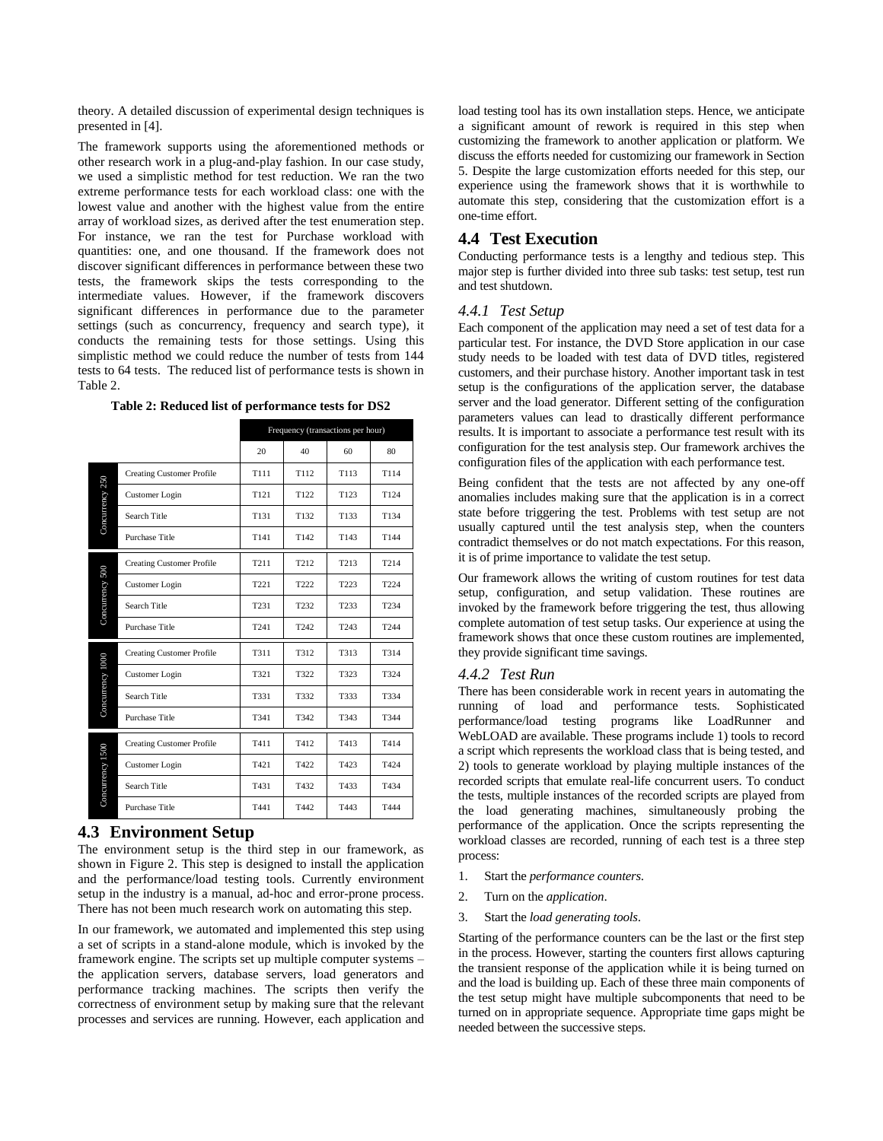theory. A detailed discussion of experimental design techniques is presented in [4].

The framework supports using the aforementioned methods or other research work in a plug-and-play fashion. In our case study, we used a simplistic method for test reduction. We ran the two extreme performance tests for each workload class: one with the lowest value and another with the highest value from the entire array of workload sizes, as derived after the test enumeration step. For instance, we ran the test for Purchase workload with quantities: one, and one thousand. If the framework does not discover significant differences in performance between these two tests, the framework skips the tests corresponding to the intermediate values. However, if the framework discovers significant differences in performance due to the parameter settings (such as concurrency, frequency and search type), it conducts the remaining tests for those settings. Using this simplistic method we could reduce the number of tests from 144 tests to 64 tests. The reduced list of performance tests is shown in Table 2.

|                  |                                  | Frequency (transactions per hour) |                   |                  |                   |
|------------------|----------------------------------|-----------------------------------|-------------------|------------------|-------------------|
|                  |                                  | 20                                | 40                | 60               | 80                |
| Concurrency 250  | <b>Creating Customer Profile</b> | T <sub>111</sub>                  | T112              | T113             | T114              |
|                  | Customer Login                   | T <sub>121</sub>                  | T <sub>122</sub>  | T <sub>123</sub> | T124              |
|                  | Search Title                     | T <sub>131</sub>                  | T <sub>132</sub>  | T <sub>133</sub> | T134              |
|                  | Purchase Title                   | T <sub>141</sub>                  | T142              | T <sub>143</sub> | T144              |
|                  | <b>Creating Customer Profile</b> | T211                              | T <sub>2</sub> 12 | T <sub>213</sub> | T <sub>2</sub> 14 |
| Concurrency 500  | Customer Login                   | T221                              | T222              | T <sub>223</sub> | T224              |
|                  | Search Title                     | T231                              | T <sub>232</sub>  | T <sub>233</sub> | T <sub>234</sub>  |
|                  | Purchase Title                   | T241                              | T <sub>242</sub>  | T <sub>243</sub> | T <sub>244</sub>  |
| Concurrency 1000 | <b>Creating Customer Profile</b> | T311                              | T312              | T313             | T314              |
|                  | Customer Login                   | T321                              | T322              | T323             | T324              |
|                  | Search Title                     | T331                              | T332              | T333             | T334              |
|                  | Purchase Title                   | T341                              | T342              | T343             | T344              |
| Concurrency 1500 | <b>Creating Customer Profile</b> | T411                              | T412              | T413             | T414              |
|                  | Customer Login                   | T421                              | T422              | T423             | T424              |
|                  | Search Title                     | T431                              | T432              | T433             | T434              |
|                  | <b>Purchase Title</b>            | T441                              | T442              | T443             | T444              |

#### **Table 2: Reduced list of performance tests for DS2**

# **4.3 Environment Setup**

The environment setup is the third step in our framework, as shown in Figure 2. This step is designed to install the application and the performance/load testing tools. Currently environment setup in the industry is a manual, ad-hoc and error-prone process. There has not been much research work on automating this step.

In our framework, we automated and implemented this step using a set of scripts in a stand-alone module, which is invoked by the framework engine. The scripts set up multiple computer systems – the application servers, database servers, load generators and performance tracking machines. The scripts then verify the correctness of environment setup by making sure that the relevant processes and services are running. However, each application and

load testing tool has its own installation steps. Hence, we anticipate a significant amount of rework is required in this step when customizing the framework to another application or platform. We discuss the efforts needed for customizing our framework in Section 5. Despite the large customization efforts needed for this step, our experience using the framework shows that it is worthwhile to automate this step, considering that the customization effort is a one-time effort.

# **4.4 Test Execution**

Conducting performance tests is a lengthy and tedious step. This major step is further divided into three sub tasks: test setup, test run and test shutdown.

### *4.4.1 Test Setup*

Each component of the application may need a set of test data for a particular test. For instance, the DVD Store application in our case study needs to be loaded with test data of DVD titles, registered customers, and their purchase history. Another important task in test setup is the configurations of the application server, the database server and the load generator. Different setting of the configuration parameters values can lead to drastically different performance results. It is important to associate a performance test result with its configuration for the test analysis step. Our framework archives the configuration files of the application with each performance test.

Being confident that the tests are not affected by any one-off anomalies includes making sure that the application is in a correct state before triggering the test. Problems with test setup are not usually captured until the test analysis step, when the counters contradict themselves or do not match expectations. For this reason, it is of prime importance to validate the test setup.

Our framework allows the writing of custom routines for test data setup, configuration, and setup validation. These routines are invoked by the framework before triggering the test, thus allowing complete automation of test setup tasks. Our experience at using the framework shows that once these custom routines are implemented, they provide significant time savings.

## *4.4.2 Test Run*

There has been considerable work in recent years in automating the running of load and performance tests. Sophisticated performance/load testing programs like LoadRunner and WebLOAD are available. These programs include 1) tools to record a script which represents the workload class that is being tested, and 2) tools to generate workload by playing multiple instances of the recorded scripts that emulate real-life concurrent users. To conduct the tests, multiple instances of the recorded scripts are played from the load generating machines, simultaneously probing the performance of the application. Once the scripts representing the workload classes are recorded, running of each test is a three step process:

- 1. Start the *performance counters*.
- 2. Turn on the *application*.
- 3. Start the *load generating tools*.

Starting of the performance counters can be the last or the first step in the process. However, starting the counters first allows capturing the transient response of the application while it is being turned on and the load is building up. Each of these three main components of the test setup might have multiple subcomponents that need to be turned on in appropriate sequence. Appropriate time gaps might be needed between the successive steps.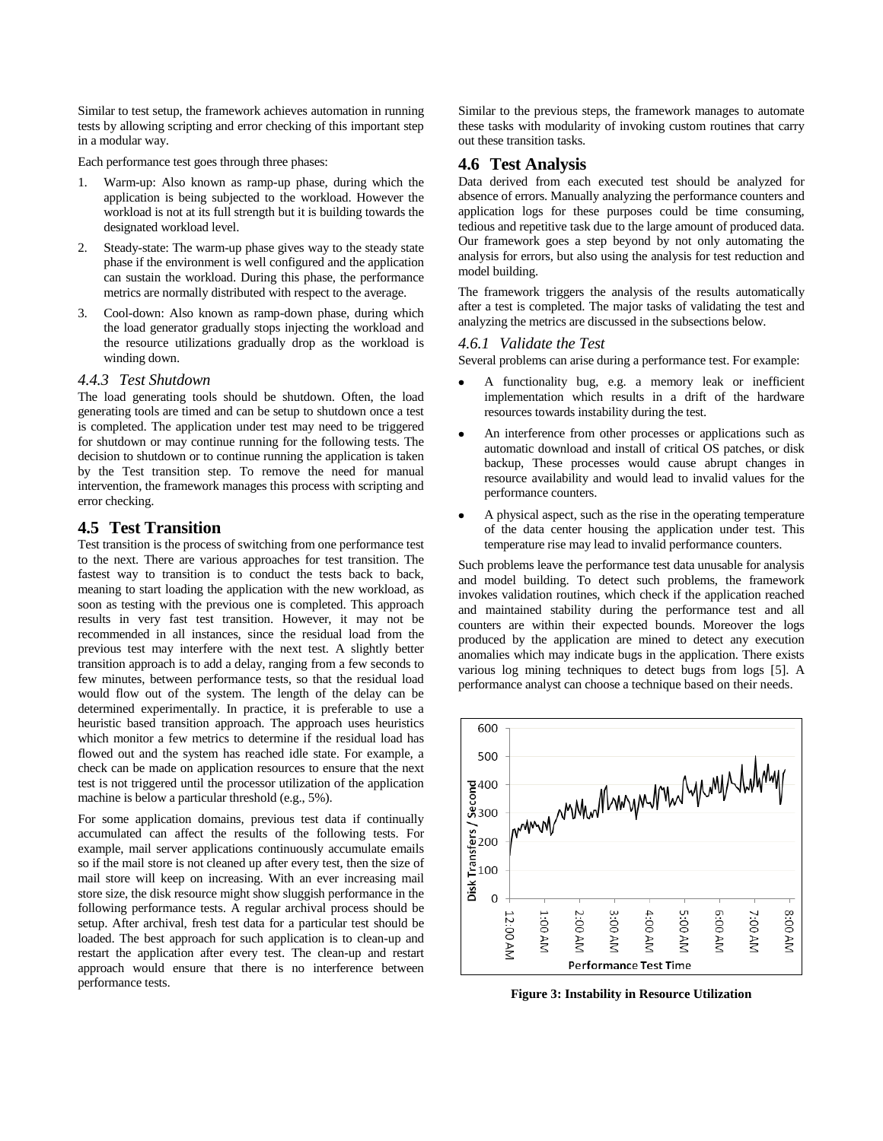Similar to test setup, the framework achieves automation in running tests by allowing scripting and error checking of this important step in a modular way.

Each performance test goes through three phases:

- 1. Warm-up: Also known as ramp-up phase, during which the application is being subjected to the workload. However the workload is not at its full strength but it is building towards the designated workload level.
- 2. Steady-state: The warm-up phase gives way to the steady state phase if the environment is well configured and the application can sustain the workload. During this phase, the performance metrics are normally distributed with respect to the average.
- 3. Cool-down: Also known as ramp-down phase, during which the load generator gradually stops injecting the workload and the resource utilizations gradually drop as the workload is winding down.

### *4.4.3 Test Shutdown*

The load generating tools should be shutdown. Often, the load generating tools are timed and can be setup to shutdown once a test is completed. The application under test may need to be triggered for shutdown or may continue running for the following tests. The decision to shutdown or to continue running the application is taken by the Test transition step. To remove the need for manual intervention, the framework manages this process with scripting and error checking.

#### **4.5 Test Transition**

Test transition is the process of switching from one performance test to the next. There are various approaches for test transition. The fastest way to transition is to conduct the tests back to back, meaning to start loading the application with the new workload, as soon as testing with the previous one is completed. This approach results in very fast test transition. However, it may not be recommended in all instances, since the residual load from the previous test may interfere with the next test. A slightly better transition approach is to add a delay, ranging from a few seconds to few minutes, between performance tests, so that the residual load would flow out of the system. The length of the delay can be determined experimentally. In practice, it is preferable to use a heuristic based transition approach. The approach uses heuristics which monitor a few metrics to determine if the residual load has flowed out and the system has reached idle state. For example, a check can be made on application resources to ensure that the next test is not triggered until the processor utilization of the application machine is below a particular threshold (e.g., 5%).

For some application domains, previous test data if continually accumulated can affect the results of the following tests. For example, mail server applications continuously accumulate emails so if the mail store is not cleaned up after every test, then the size of mail store will keep on increasing. With an ever increasing mail store size, the disk resource might show sluggish performance in the following performance tests. A regular archival process should be setup. After archival, fresh test data for a particular test should be loaded. The best approach for such application is to clean-up and restart the application after every test. The clean-up and restart approach would ensure that there is no interference between performance tests.

Similar to the previous steps, the framework manages to automate these tasks with modularity of invoking custom routines that carry out these transition tasks.

### **4.6 Test Analysis**

Data derived from each executed test should be analyzed for absence of errors. Manually analyzing the performance counters and application logs for these purposes could be time consuming, tedious and repetitive task due to the large amount of produced data. Our framework goes a step beyond by not only automating the analysis for errors, but also using the analysis for test reduction and model building.

The framework triggers the analysis of the results automatically after a test is completed. The major tasks of validating the test and analyzing the metrics are discussed in the subsections below.

#### *4.6.1 Validate the Test*

Several problems can arise during a performance test. For example:

- A functionality bug, e.g. a memory leak or inefficient implementation which results in a drift of the hardware resources towards instability during the test.
- An interference from other processes or applications such as automatic download and install of critical OS patches, or disk backup, These processes would cause abrupt changes in resource availability and would lead to invalid values for the performance counters.
- A physical aspect, such as the rise in the operating temperature of the data center housing the application under test. This temperature rise may lead to invalid performance counters.

Such problems leave the performance test data unusable for analysis and model building. To detect such problems, the framework invokes validation routines, which check if the application reached and maintained stability during the performance test and all counters are within their expected bounds. Moreover the logs produced by the application are mined to detect any execution anomalies which may indicate bugs in the application. There exists various log mining techniques to detect bugs from logs [5]. A performance analyst can choose a technique based on their needs.



**Figure 3: Instability in Resource Utilization**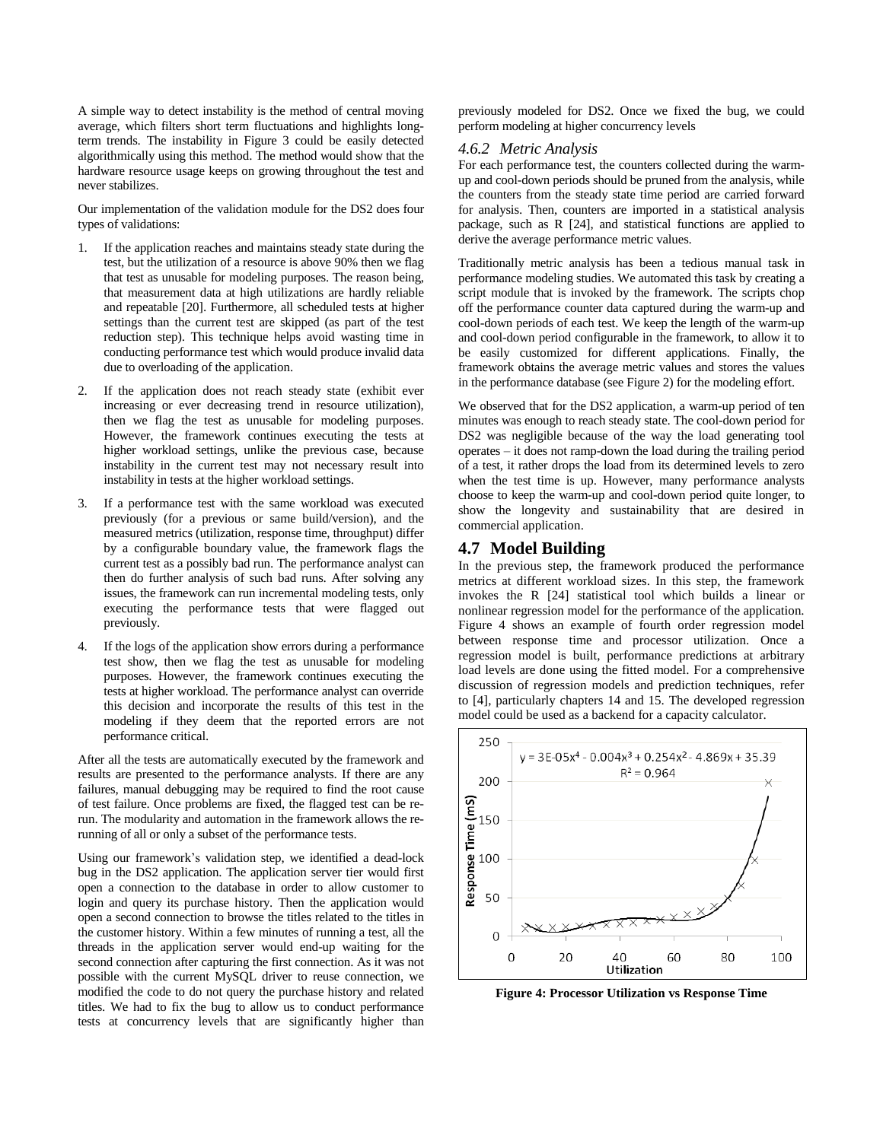A simple way to detect instability is the method of central moving average, which filters short term fluctuations and highlights longterm trends. The instability in Figure 3 could be easily detected algorithmically using this method. The method would show that the hardware resource usage keeps on growing throughout the test and never stabilizes.

Our implementation of the validation module for the DS2 does four types of validations:

- 1. If the application reaches and maintains steady state during the test, but the utilization of a resource is above 90% then we flag that test as unusable for modeling purposes. The reason being, that measurement data at high utilizations are hardly reliable and repeatable [20]. Furthermore, all scheduled tests at higher settings than the current test are skipped (as part of the test reduction step). This technique helps avoid wasting time in conducting performance test which would produce invalid data due to overloading of the application.
- 2. If the application does not reach steady state (exhibit ever increasing or ever decreasing trend in resource utilization), then we flag the test as unusable for modeling purposes. However, the framework continues executing the tests at higher workload settings, unlike the previous case, because instability in the current test may not necessary result into instability in tests at the higher workload settings.
- 3. If a performance test with the same workload was executed previously (for a previous or same build/version), and the measured metrics (utilization, response time, throughput) differ by a configurable boundary value, the framework flags the current test as a possibly bad run. The performance analyst can then do further analysis of such bad runs. After solving any issues, the framework can run incremental modeling tests, only executing the performance tests that were flagged out previously.
- If the logs of the application show errors during a performance test show, then we flag the test as unusable for modeling purposes. However, the framework continues executing the tests at higher workload. The performance analyst can override this decision and incorporate the results of this test in the modeling if they deem that the reported errors are not performance critical.

After all the tests are automatically executed by the framework and results are presented to the performance analysts. If there are any failures, manual debugging may be required to find the root cause of test failure. Once problems are fixed, the flagged test can be rerun. The modularity and automation in the framework allows the rerunning of all or only a subset of the performance tests.

Using our framework's validation step, we identified a dead-lock bug in the DS2 application. The application server tier would first open a connection to the database in order to allow customer to login and query its purchase history. Then the application would open a second connection to browse the titles related to the titles in the customer history. Within a few minutes of running a test, all the threads in the application server would end-up waiting for the second connection after capturing the first connection. As it was not possible with the current MySQL driver to reuse connection, we modified the code to do not query the purchase history and related titles. We had to fix the bug to allow us to conduct performance tests at concurrency levels that are significantly higher than previously modeled for DS2. Once we fixed the bug, we could perform modeling at higher concurrency levels

#### *4.6.2 Metric Analysis*

For each performance test, the counters collected during the warmup and cool-down periods should be pruned from the analysis, while the counters from the steady state time period are carried forward for analysis. Then, counters are imported in a statistical analysis package, such as R [24], and statistical functions are applied to derive the average performance metric values.

Traditionally metric analysis has been a tedious manual task in performance modeling studies. We automated this task by creating a script module that is invoked by the framework. The scripts chop off the performance counter data captured during the warm-up and cool-down periods of each test. We keep the length of the warm-up and cool-down period configurable in the framework, to allow it to be easily customized for different applications. Finally, the framework obtains the average metric values and stores the values in the performance database (see Figure 2) for the modeling effort.

We observed that for the DS2 application, a warm-up period of ten minutes was enough to reach steady state. The cool-down period for DS2 was negligible because of the way the load generating tool operates – it does not ramp-down the load during the trailing period of a test, it rather drops the load from its determined levels to zero when the test time is up. However, many performance analysts choose to keep the warm-up and cool-down period quite longer, to show the longevity and sustainability that are desired in commercial application.

### **4.7 Model Building**

In the previous step, the framework produced the performance metrics at different workload sizes. In this step, the framework invokes the R [24] statistical tool which builds a linear or nonlinear regression model for the performance of the application. Figure 4 shows an example of fourth order regression model between response time and processor utilization. Once a regression model is built, performance predictions at arbitrary load levels are done using the fitted model. For a comprehensive discussion of regression models and prediction techniques, refer to [4], particularly chapters 14 and 15. The developed regression model could be used as a backend for a capacity calculator.

![](_page_7_Figure_15.jpeg)

**Figure 4: Processor Utilization vs Response Time**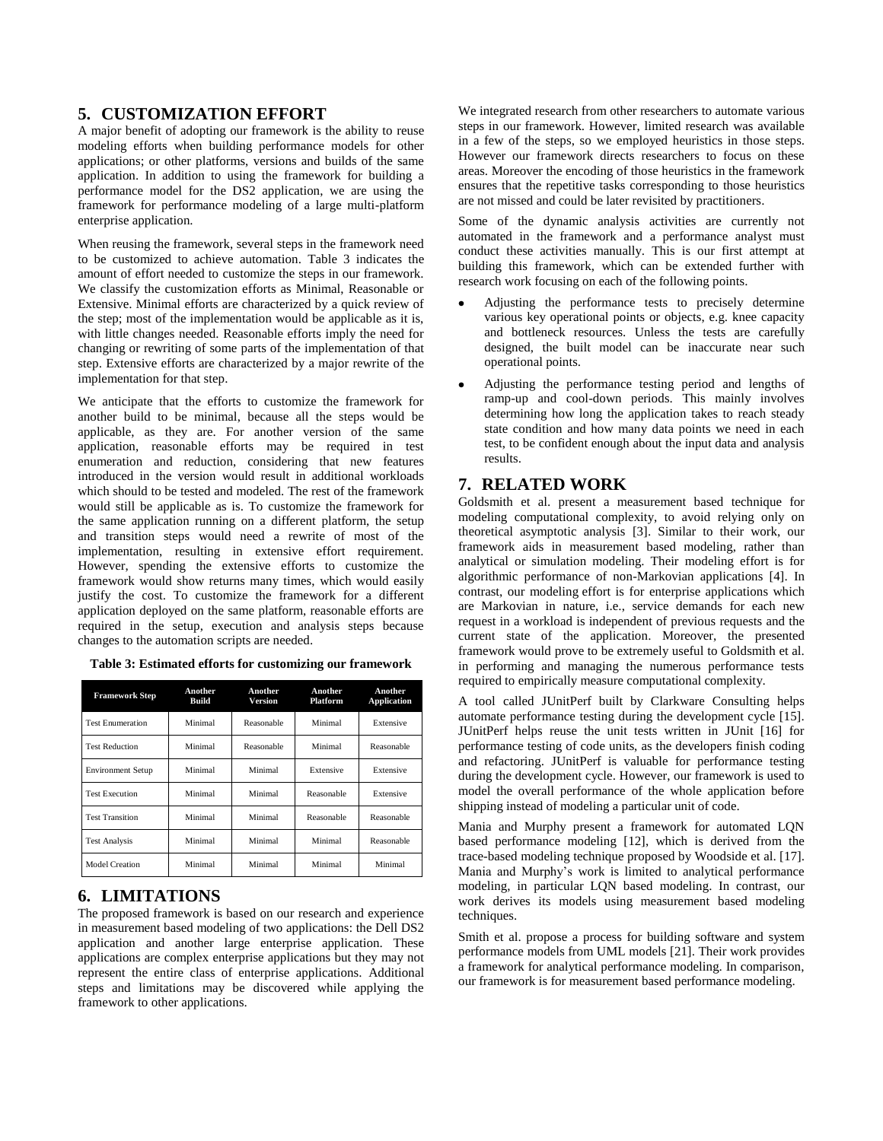# **5. CUSTOMIZATION EFFORT**

A major benefit of adopting our framework is the ability to reuse modeling efforts when building performance models for other applications; or other platforms, versions and builds of the same application. In addition to using the framework for building a performance model for the DS2 application, we are using the framework for performance modeling of a large multi-platform enterprise application.

When reusing the framework, several steps in the framework need to be customized to achieve automation. Table 3 indicates the amount of effort needed to customize the steps in our framework. We classify the customization efforts as Minimal, Reasonable or Extensive. Minimal efforts are characterized by a quick review of the step; most of the implementation would be applicable as it is, with little changes needed. Reasonable efforts imply the need for changing or rewriting of some parts of the implementation of that step. Extensive efforts are characterized by a major rewrite of the implementation for that step.

We anticipate that the efforts to customize the framework for another build to be minimal, because all the steps would be applicable, as they are. For another version of the same application, reasonable efforts may be required in test enumeration and reduction, considering that new features introduced in the version would result in additional workloads which should to be tested and modeled. The rest of the framework would still be applicable as is. To customize the framework for the same application running on a different platform, the setup and transition steps would need a rewrite of most of the implementation, resulting in extensive effort requirement. However, spending the extensive efforts to customize the framework would show returns many times, which would easily justify the cost. To customize the framework for a different application deployed on the same platform, reasonable efforts are required in the setup, execution and analysis steps because changes to the automation scripts are needed.

|  |  | Table 3: Estimated efforts for customizing our framework |
|--|--|----------------------------------------------------------|
|  |  |                                                          |

| <b>Framework Step</b>    | Another<br>Build | Another<br><b>Version</b> | Another<br>Platform | Another<br><b>Application</b> |
|--------------------------|------------------|---------------------------|---------------------|-------------------------------|
| <b>Test Enumeration</b>  | Minimal          | Reasonable                | Minimal             | Extensive                     |
| <b>Test Reduction</b>    | Minimal          | Reasonable                | Minimal             | Reasonable                    |
| <b>Environment Setup</b> | Minimal          | Minimal                   | Extensive           | Extensive                     |
| <b>Test Execution</b>    | Minimal          | Minimal                   | Reasonable          | Extensive                     |
| <b>Test Transition</b>   | Minimal          | Minimal                   | Reasonable          | Reasonable                    |
| <b>Test Analysis</b>     | Minimal          | Minimal                   | Minimal             | Reasonable                    |
| Model Creation           | Minimal          | Minimal                   | Minimal             | Minimal                       |

# **6. LIMITATIONS**

The proposed framework is based on our research and experience in measurement based modeling of two applications: the Dell DS2 application and another large enterprise application. These applications are complex enterprise applications but they may not represent the entire class of enterprise applications. Additional steps and limitations may be discovered while applying the framework to other applications.

We integrated research from other researchers to automate various steps in our framework. However, limited research was available in a few of the steps, so we employed heuristics in those steps. However our framework directs researchers to focus on these areas. Moreover the encoding of those heuristics in the framework ensures that the repetitive tasks corresponding to those heuristics are not missed and could be later revisited by practitioners.

Some of the dynamic analysis activities are currently not automated in the framework and a performance analyst must conduct these activities manually. This is our first attempt at building this framework, which can be extended further with research work focusing on each of the following points.

- Adjusting the performance tests to precisely determine various key operational points or objects, e.g. knee capacity and bottleneck resources. Unless the tests are carefully designed, the built model can be inaccurate near such operational points.
- Adjusting the performance testing period and lengths of ramp-up and cool-down periods. This mainly involves determining how long the application takes to reach steady state condition and how many data points we need in each test, to be confident enough about the input data and analysis results.

# **7. RELATED WORK**

Goldsmith et al. present a measurement based technique for modeling computational complexity, to avoid relying only on theoretical asymptotic analysis [3]. Similar to their work, our framework aids in measurement based modeling, rather than analytical or simulation modeling. Their modeling effort is for algorithmic performance of non-Markovian applications [4]. In contrast, our modeling effort is for enterprise applications which are Markovian in nature, i.e., service demands for each new request in a workload is independent of previous requests and the current state of the application. Moreover, the presented framework would prove to be extremely useful to Goldsmith et al. in performing and managing the numerous performance tests required to empirically measure computational complexity.

A tool called JUnitPerf built by Clarkware Consulting helps automate performance testing during the development cycle [15]. JUnitPerf helps reuse the unit tests written in JUnit [16] for performance testing of code units, as the developers finish coding and refactoring. JUnitPerf is valuable for performance testing during the development cycle. However, our framework is used to model the overall performance of the whole application before shipping instead of modeling a particular unit of code.

Mania and Murphy present a framework for automated LQN based performance modeling [12], which is derived from the trace-based modeling technique proposed by Woodside et al. [17]. Mania and Murphy's work is limited to analytical performance modeling, in particular LQN based modeling. In contrast, our work derives its models using measurement based modeling techniques.

Smith et al. propose a process for building software and system performance models from UML models [21]. Their work provides a framework for analytical performance modeling. In comparison, our framework is for measurement based performance modeling.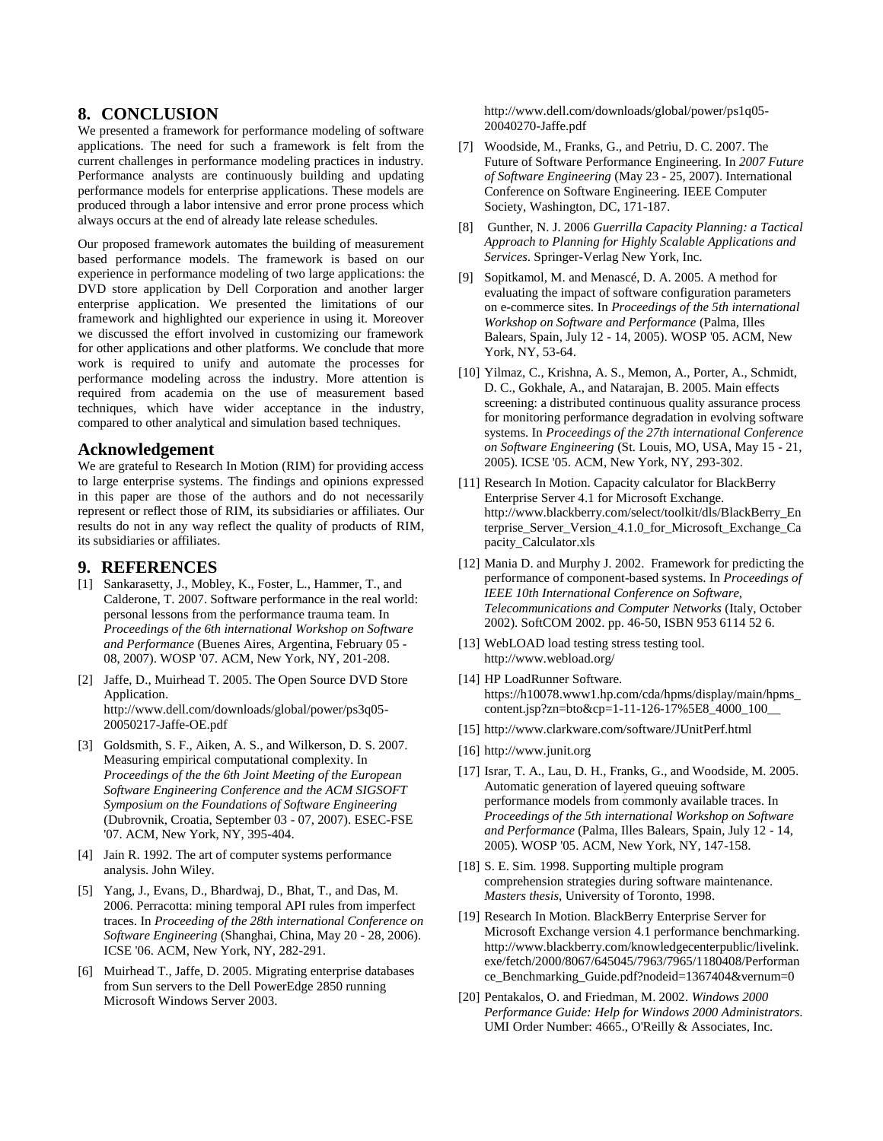# **8. CONCLUSION**

We presented a framework for performance modeling of software applications. The need for such a framework is felt from the current challenges in performance modeling practices in industry. Performance analysts are continuously building and updating performance models for enterprise applications. These models are produced through a labor intensive and error prone process which always occurs at the end of already late release schedules.

Our proposed framework automates the building of measurement based performance models. The framework is based on our experience in performance modeling of two large applications: the DVD store application by Dell Corporation and another larger enterprise application. We presented the limitations of our framework and highlighted our experience in using it. Moreover we discussed the effort involved in customizing our framework for other applications and other platforms. We conclude that more work is required to unify and automate the processes for performance modeling across the industry. More attention is required from academia on the use of measurement based techniques, which have wider acceptance in the industry, compared to other analytical and simulation based techniques.

### **Acknowledgement**

We are grateful to Research In Motion (RIM) for providing access to large enterprise systems. The findings and opinions expressed in this paper are those of the authors and do not necessarily represent or reflect those of RIM, its subsidiaries or affiliates. Our results do not in any way reflect the quality of products of RIM, its subsidiaries or affiliates.

### **9. REFERENCES**

- [1] Sankarasetty, J., Mobley, K., Foster, L., Hammer, T., and Calderone, T. 2007. Software performance in the real world: personal lessons from the performance trauma team. In *Proceedings of the 6th international Workshop on Software and Performance* (Buenes Aires, Argentina, February 05 - 08, 2007). WOSP '07. ACM, New York, NY, 201-208.
- [2] Jaffe, D., Muirhead T. 2005. The Open Source DVD Store Application. http://www.dell.com/downloads/global/power/ps3q05- 20050217-Jaffe-OE.pdf
- [3] Goldsmith, S. F., Aiken, A. S., and Wilkerson, D. S. 2007. Measuring empirical computational complexity. In *Proceedings of the the 6th Joint Meeting of the European Software Engineering Conference and the ACM SIGSOFT Symposium on the Foundations of Software Engineering* (Dubrovnik, Croatia, September 03 - 07, 2007). ESEC-FSE '07. ACM, New York, NY, 395-404.
- [4] Jain R. 1992. The art of computer systems performance analysis. John Wiley.
- [5] Yang, J., Evans, D., Bhardwaj, D., Bhat, T., and Das, M. 2006. Perracotta: mining temporal API rules from imperfect traces. In *Proceeding of the 28th international Conference on Software Engineering* (Shanghai, China, May 20 - 28, 2006). ICSE '06. ACM, New York, NY, 282-291.
- <span id="page-9-0"></span>[6] Muirhead T., Jaffe, D. 2005. Migrating enterprise databases from Sun servers to the Dell PowerEdge 2850 running Microsoft Windows Server 2003.

http://www.dell.com/downloads/global/power/ps1q05- 20040270-Jaffe.pdf

- [7] Woodside, M., Franks, G., and Petriu, D. C. 2007. The Future of Software Performance Engineering. In *2007 Future of Software Engineering* (May 23 - 25, 2007). International Conference on Software Engineering. IEEE Computer Society, Washington, DC, 171-187.
- [8] Gunther, N. J. 2006 *Guerrilla Capacity Planning: a Tactical Approach to Planning for Highly Scalable Applications and Services*. Springer-Verlag New York, Inc.
- [9] Sopitkamol, M. and Menascé, D. A. 2005. A method for evaluating the impact of software configuration parameters on e-commerce sites. In *Proceedings of the 5th international Workshop on Software and Performance* (Palma, Illes Balears, Spain, July 12 - 14, 2005). WOSP '05. ACM, New York, NY, 53-64.
- [10] Yilmaz, C., Krishna, A. S., Memon, A., Porter, A., Schmidt, D. C., Gokhale, A., and Natarajan, B. 2005. Main effects screening: a distributed continuous quality assurance process for monitoring performance degradation in evolving software systems. In *Proceedings of the 27th international Conference on Software Engineering* (St. Louis, MO, USA, May 15 - 21, 2005). ICSE '05. ACM, New York, NY, 293-302.
- [11] Research In Motion. Capacity calculator for BlackBerry Enterprise Server 4.1 for Microsoft Exchange. http://www.blackberry.com/select/toolkit/dls/BlackBerry\_En terprise\_Server\_Version\_4.1.0\_for\_Microsoft\_Exchange\_Ca pacity\_Calculator.xls
- [12] Mania D. and Murphy J. 2002. Framework for predicting the performance of component-based systems. In *Proceedings of IEEE 10th International Conference on Software, Telecommunications and Computer Networks* (Italy, October 2002). SoftCOM 2002. pp. 46-50, ISBN 953 6114 52 6.
- [13] WebLOAD load testing stress testing tool. http://www.webload.org/
- [14] HP LoadRunner Software. https://h10078.www1.hp.com/cda/hpms/display/main/hpms\_ content.jsp?zn=bto&cp=1-11-126-17%5E8\_4000\_100
- [15] http://www.clarkware.com/software/JUnitPerf.html
- [16] http://www.junit.org
- [17] Israr, T. A., Lau, D. H., Franks, G., and Woodside, M. 2005. Automatic generation of layered queuing software performance models from commonly available traces. In *Proceedings of the 5th international Workshop on Software and Performance* (Palma, Illes Balears, Spain, July 12 - 14, 2005). WOSP '05. ACM, New York, NY, 147-158.
- [18] S. E. Sim. 1998. Supporting multiple program comprehension strategies during software maintenance. *Masters thesis*, University of Toronto, 1998.
- [19] Research In Motion. BlackBerry Enterprise Server for Microsoft Exchange version 4.1 performance benchmarking. http://www.blackberry.com/knowledgecenterpublic/livelink. exe/fetch/2000/8067/645045/7963/7965/1180408/Performan ce\_Benchmarking\_Guide.pdf?nodeid=1367404&vernum=0
- [20] Pentakalos, O. and Friedman, M. 2002. *Windows 2000 Performance Guide: Help for Windows 2000 Administrators*. UMI Order Number: 4665., O'Reilly & Associates, Inc.